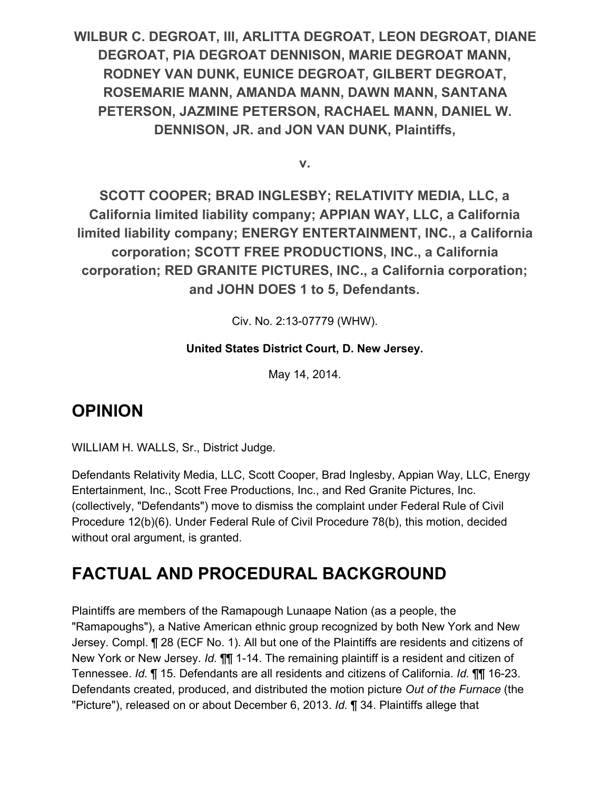**WILBUR C. DEGROAT, III, ARLITTA DEGROAT, LEON DEGROAT, DIANE DEGROAT, PIA DEGROAT DENNISON, MARIE DEGROAT MANN, RODNEY VAN DUNK, EUNICE DEGROAT, GILBERT DEGROAT, ROSEMARIE MANN, AMANDA MANN, DAWN MANN, SANTANA PETERSON, JAZMINE PETERSON, RACHAEL MANN, DANIEL W. DENNISON, JR. and JON VAN DUNK, Plaintiffs,**

**v.**

**SCOTT COOPER; BRAD INGLESBY; RELATIVITY MEDIA, LLC, a California limited liability company; APPIAN WAY, LLC, a California limited liability company; ENERGY ENTERTAINMENT, INC., a California corporation; SCOTT FREE PRODUCTIONS, INC., a California corporation; RED GRANITE PICTURES, INC., a California corporation; and JOHN DOES 1 to 5, Defendants.**

Civ. No. 2:13-07779 (WHW).

#### **United States District Court, D. New Jersey.**

May 14, 2014.

#### **OPINION**

WILLIAM H. WALLS, Sr., District Judge.

Defendants Relativity Media, LLC, Scott Cooper, Brad Inglesby, Appian Way, LLC, Energy Entertainment, Inc., Scott Free Productions, Inc., and Red Granite Pictures, Inc. (collectively, "Defendants") move to dismiss the complaint under Federal Rule of Civil Procedure 12(b)(6). Under Federal Rule of Civil Procedure 78(b), this motion, decided without oral argument, is granted.

# **FACTUAL AND PROCEDURAL BACKGROUND**

Plaintiffs are members of the Ramapough Lunaape Nation (as a people, the "Ramapoughs"), a Native American ethnic group recognized by both New York and New Jersey. Compl. ¶ 28 (ECF No. 1). All but one of the Plaintiffs are residents and citizens of New York or New Jersey. *Id.* **11** 1-14. The remaining plaintiff is a resident and citizen of Tennessee. *Id.* ¶ 15. Defendants are all residents and citizens of California. *Id.* ¶¶ 16-23. Defendants created, produced, and distributed the motion picture *Out of the Furnace* (the "Picture"), released on or about December 6, 2013. *Id.* ¶ 34. Plaintiffs allege that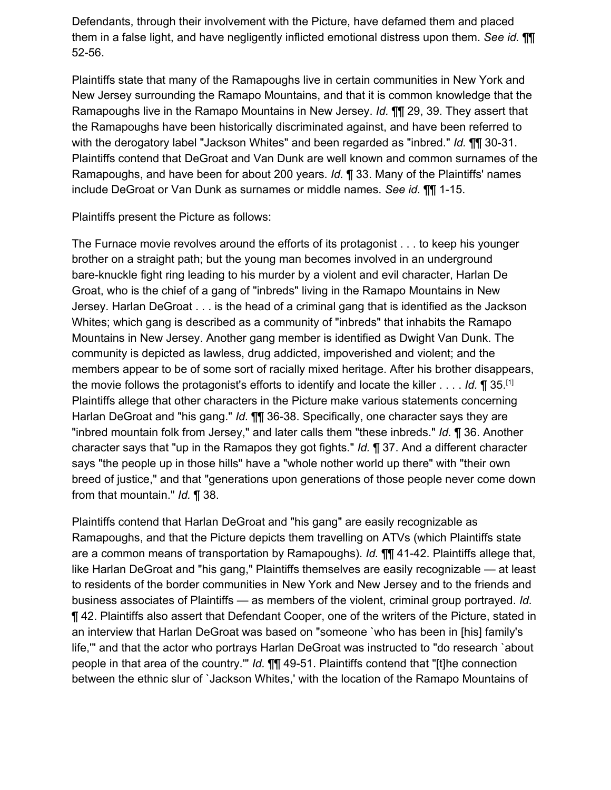Defendants, through their involvement with the Picture, have defamed them and placed them in a false light, and have negligently inflicted emotional distress upon them. *See id.* ¶¶ 52-56.

Plaintiffs state that many of the Ramapoughs live in certain communities in New York and New Jersey surrounding the Ramapo Mountains, and that it is common knowledge that the Ramapoughs live in the Ramapo Mountains in New Jersey. *Id.* ¶¶ 29, 39. They assert that the Ramapoughs have been historically discriminated against, and have been referred to with the derogatory label "Jackson Whites" and been regarded as "inbred." *Id.* ¶¶ 30-31. Plaintiffs contend that DeGroat and Van Dunk are well known and common surnames of the Ramapoughs, and have been for about 200 years. *Id.* ¶ 33. Many of the Plaintiffs' names include DeGroat or Van Dunk as surnames or middle names. *See id.* ¶¶ 1-15.

Plaintiffs present the Picture as follows:

The Furnace movie revolves around the efforts of its protagonist . . . to keep his younger brother on a straight path; but the young man becomes involved in an underground bare-knuckle fight ring leading to his murder by a violent and evil character, Harlan De Groat, who is the chief of a gang of "inbreds" living in the Ramapo Mountains in New Jersey. Harlan DeGroat . . . is the head of a criminal gang that is identified as the Jackson Whites; which gang is described as a community of "inbreds" that inhabits the Ramapo Mountains in New Jersey. Another gang member is identified as Dwight Van Dunk. The community is depicted as lawless, drug addicted, impoverished and violent; and the members appear to be of some sort of racially mixed heritage. After his brother disappears, the movie follows the protagonist's efforts to identify and locate the killer . . . . *Id.* ¶ 35.[1] Plaintiffs allege that other characters in the Picture make various statements concerning Harlan DeGroat and "his gang." *Id.* ¶¶ 36-38. Specifically, one character says they are "inbred mountain folk from Jersey," and later calls them "these inbreds." *Id.* ¶ 36. Another character says that "up in the Ramapos they got fights." *Id.* ¶ 37. And a different character says "the people up in those hills" have a "whole nother world up there" with "their own breed of justice," and that "generations upon generations of those people never come down from that mountain." *Id.* ¶ 38.

Plaintiffs contend that Harlan DeGroat and "his gang" are easily recognizable as Ramapoughs, and that the Picture depicts them travelling on ATVs (which Plaintiffs state are a common means of transportation by Ramapoughs). *Id.* ¶¶ 41-42. Plaintiffs allege that, like Harlan DeGroat and "his gang," Plaintiffs themselves are easily recognizable — at least to residents of the border communities in New York and New Jersey and to the friends and business associates of Plaintiffs — as members of the violent, criminal group portrayed. *Id.* ¶ 42. Plaintiffs also assert that Defendant Cooper, one of the writers of the Picture, stated in an interview that Harlan DeGroat was based on "someone `who has been in [his] family's life,'" and that the actor who portrays Harlan DeGroat was instructed to "do research `about people in that area of the country.'" *Id.* ¶¶ 49-51. Plaintiffs contend that "[t]he connection between the ethnic slur of `Jackson Whites,' with the location of the Ramapo Mountains of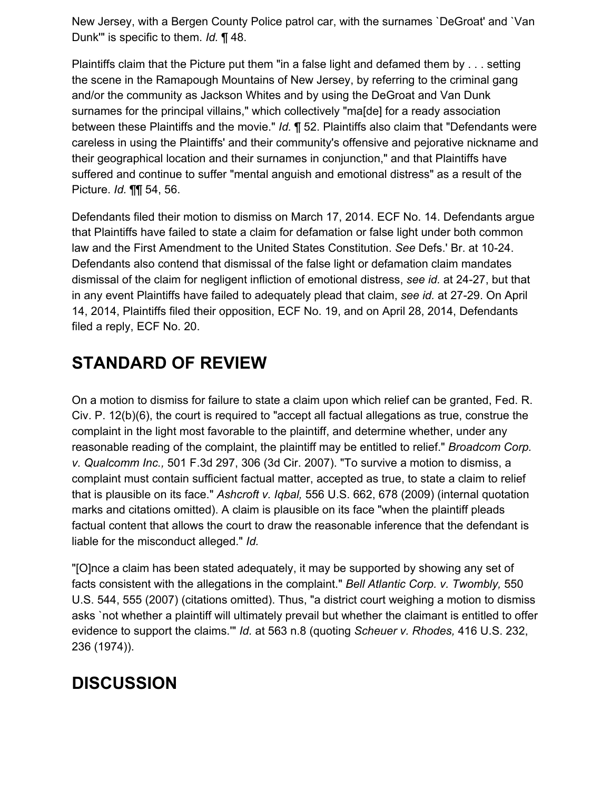New Jersey, with a Bergen County Police patrol car, with the surnames `DeGroat' and `Van Dunk'" is specific to them. *Id.* ¶ 48.

Plaintiffs claim that the Picture put them "in a false light and defamed them by . . . setting the scene in the Ramapough Mountains of New Jersey, by referring to the criminal gang and/or the community as Jackson Whites and by using the DeGroat and Van Dunk surnames for the principal villains," which collectively "ma[de] for a ready association between these Plaintiffs and the movie." *Id.* ¶ 52. Plaintiffs also claim that "Defendants were careless in using the Plaintiffs' and their community's offensive and pejorative nickname and their geographical location and their surnames in conjunction," and that Plaintiffs have suffered and continue to suffer "mental anguish and emotional distress" as a result of the Picture. *Id.* ¶¶ 54, 56.

Defendants filed their motion to dismiss on March 17, 2014. ECF No. 14. Defendants argue that Plaintiffs have failed to state a claim for defamation or false light under both common law and the First Amendment to the United States Constitution. *See* Defs.' Br. at 10-24. Defendants also contend that dismissal of the false light or defamation claim mandates dismissal of the claim for negligent infliction of emotional distress, *see id.* at 24-27, but that in any event Plaintiffs have failed to adequately plead that claim, *see id.* at 27-29. On April 14, 2014, Plaintiffs filed their opposition, ECF No. 19, and on April 28, 2014, Defendants filed a reply, ECF No. 20.

# **STANDARD OF REVIEW**

On a motion to dismiss for failure to state a claim upon which relief can be granted, Fed. R. Civ. P. 12(b)(6), the court is required to "accept all factual allegations as true, construe the complaint in the light most favorable to the plaintiff, and determine whether, under any reasonable reading of the complaint, the plaintiff may be entitled to relief." *Broadcom Corp. v. Qualcomm Inc.,* 501 F.3d 297, 306 (3d Cir. 2007). "To survive a motion to dismiss, a complaint must contain sufficient factual matter, accepted as true, to state a claim to relief that is plausible on its face." *Ashcroft v. Iqbal,* 556 U.S. 662, 678 (2009) (internal quotation marks and citations omitted). A claim is plausible on its face "when the plaintiff pleads factual content that allows the court to draw the reasonable inference that the defendant is liable for the misconduct alleged." *Id.*

"[O]nce a claim has been stated adequately, it may be supported by showing any set of facts consistent with the allegations in the complaint." *Bell Atlantic Corp. v. Twombly,* 550 U.S. 544, 555 (2007) (citations omitted). Thus, "a district court weighing a motion to dismiss asks `not whether a plaintiff will ultimately prevail but whether the claimant is entitled to offer evidence to support the claims.'" *Id.* at 563 n.8 (quoting *Scheuer v. Rhodes,* 416 U.S. 232, 236 (1974)).

# **DISCUSSION**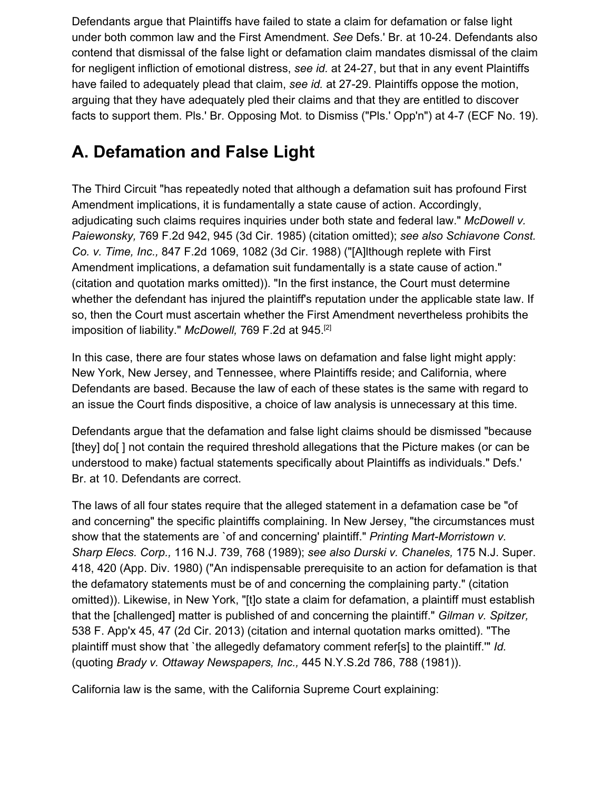Defendants argue that Plaintiffs have failed to state a claim for defamation or false light under both common law and the First Amendment. *See* Defs.' Br. at 10-24. Defendants also contend that dismissal of the false light or defamation claim mandates dismissal of the claim for negligent infliction of emotional distress, *see id.* at 24-27, but that in any event Plaintiffs have failed to adequately plead that claim, *see id.* at 27-29. Plaintiffs oppose the motion, arguing that they have adequately pled their claims and that they are entitled to discover facts to support them. Pls.' Br. Opposing Mot. to Dismiss ("Pls.' Opp'n") at 4-7 (ECF No. 19).

# **A. Defamation and False Light**

The Third Circuit "has repeatedly noted that although a defamation suit has profound First Amendment implications, it is fundamentally a state cause of action. Accordingly, adjudicating such claims requires inquiries under both state and federal law." *McDowell v. Paiewonsky,* 769 F.2d 942, 945 (3d Cir. 1985) (citation omitted); *see also Schiavone Const. Co. v. Time, Inc.,* 847 F.2d 1069, 1082 (3d Cir. 1988) ("[A]lthough replete with First Amendment implications, a defamation suit fundamentally is a state cause of action." (citation and quotation marks omitted)). "In the first instance, the Court must determine whether the defendant has injured the plaintiff's reputation under the applicable state law. If so, then the Court must ascertain whether the First Amendment nevertheless prohibits the imposition of liability." *McDowell*, 769 F.2d at 945.<sup>[2]</sup>

In this case, there are four states whose laws on defamation and false light might apply: New York, New Jersey, and Tennessee, where Plaintiffs reside; and California, where Defendants are based. Because the law of each of these states is the same with regard to an issue the Court finds dispositive, a choice of law analysis is unnecessary at this time.

Defendants argue that the defamation and false light claims should be dismissed "because [they] do[ ] not contain the required threshold allegations that the Picture makes (or can be understood to make) factual statements specifically about Plaintiffs as individuals." Defs.' Br. at 10. Defendants are correct.

The laws of all four states require that the alleged statement in a defamation case be "of and concerning" the specific plaintiffs complaining. In New Jersey, "the circumstances must show that the statements are `of and concerning' plaintiff." *Printing Mart-Morristown v. Sharp Elecs. Corp.,* 116 N.J. 739, 768 (1989); *see also Durski v. Chaneles,* 175 N.J. Super. 418, 420 (App. Div. 1980) ("An indispensable prerequisite to an action for defamation is that the defamatory statements must be of and concerning the complaining party." (citation omitted)). Likewise, in New York, "[t]o state a claim for defamation, a plaintiff must establish that the [challenged] matter is published of and concerning the plaintiff." *Gilman v. Spitzer,* 538 F. App'x 45, 47 (2d Cir. 2013) (citation and internal quotation marks omitted). "The plaintiff must show that `the allegedly defamatory comment refer[s] to the plaintiff.'" *Id.* (quoting *Brady v. Ottaway Newspapers, Inc.,* 445 N.Y.S.2d 786, 788 (1981)).

California law is the same, with the California Supreme Court explaining: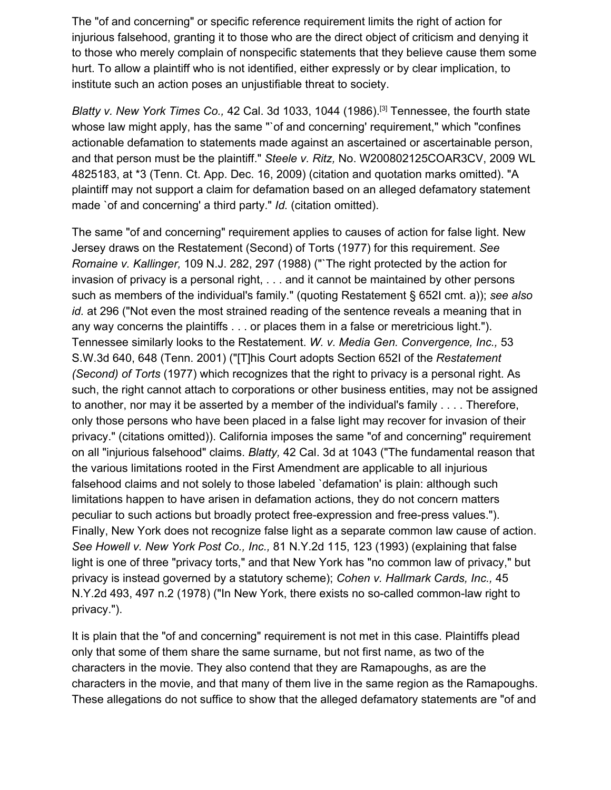The "of and concerning" or specific reference requirement limits the right of action for injurious falsehood, granting it to those who are the direct object of criticism and denying it to those who merely complain of nonspecific statements that they believe cause them some hurt. To allow a plaintiff who is not identified, either expressly or by clear implication, to institute such an action poses an unjustifiable threat to society.

*Blatty v. New York Times Co., 42 Cal. 3d 1033, 1044 (1986).<sup>[3]</sup> Tennessee, the fourth state* whose law might apply, has the same "`of and concerning' requirement," which "confines actionable defamation to statements made against an ascertained or ascertainable person, and that person must be the plaintiff." *Steele v. Ritz,* No. W200802125COAR3CV, 2009 WL 4825183, at \*3 (Tenn. Ct. App. Dec. 16, 2009) (citation and quotation marks omitted). "A plaintiff may not support a claim for defamation based on an alleged defamatory statement made `of and concerning' a third party." *Id.* (citation omitted).

The same "of and concerning" requirement applies to causes of action for false light. New Jersey draws on the Restatement (Second) of Torts (1977) for this requirement. *See Romaine v. Kallinger,* 109 N.J. 282, 297 (1988) ("`The right protected by the action for invasion of privacy is a personal right, . . . and it cannot be maintained by other persons such as members of the individual's family." (quoting Restatement § 652I cmt. a)); *see also id.* at 296 ("Not even the most strained reading of the sentence reveals a meaning that in any way concerns the plaintiffs . . . or places them in a false or meretricious light."). Tennessee similarly looks to the Restatement. *W. v. Media Gen. Convergence, Inc.,* 53 S.W.3d 640, 648 (Tenn. 2001) ("[T]his Court adopts Section 652I of the *Restatement (Second) of Torts* (1977) which recognizes that the right to privacy is a personal right. As such, the right cannot attach to corporations or other business entities, may not be assigned to another, nor may it be asserted by a member of the individual's family . . . . Therefore, only those persons who have been placed in a false light may recover for invasion of their privacy." (citations omitted)). California imposes the same "of and concerning" requirement on all "injurious falsehood" claims. *Blatty,* 42 Cal. 3d at 1043 ("The fundamental reason that the various limitations rooted in the First Amendment are applicable to all injurious falsehood claims and not solely to those labeled `defamation' is plain: although such limitations happen to have arisen in defamation actions, they do not concern matters peculiar to such actions but broadly protect free-expression and free-press values."). Finally, New York does not recognize false light as a separate common law cause of action. *See Howell v. New York Post Co., Inc.,* 81 N.Y.2d 115, 123 (1993) (explaining that false light is one of three "privacy torts," and that New York has "no common law of privacy," but privacy is instead governed by a statutory scheme); *Cohen v. Hallmark Cards, Inc.,* 45 N.Y.2d 493, 497 n.2 (1978) ("In New York, there exists no so-called common-law right to privacy.").

It is plain that the "of and concerning" requirement is not met in this case. Plaintiffs plead only that some of them share the same surname, but not first name, as two of the characters in the movie. They also contend that they are Ramapoughs, as are the characters in the movie, and that many of them live in the same region as the Ramapoughs. These allegations do not suffice to show that the alleged defamatory statements are "of and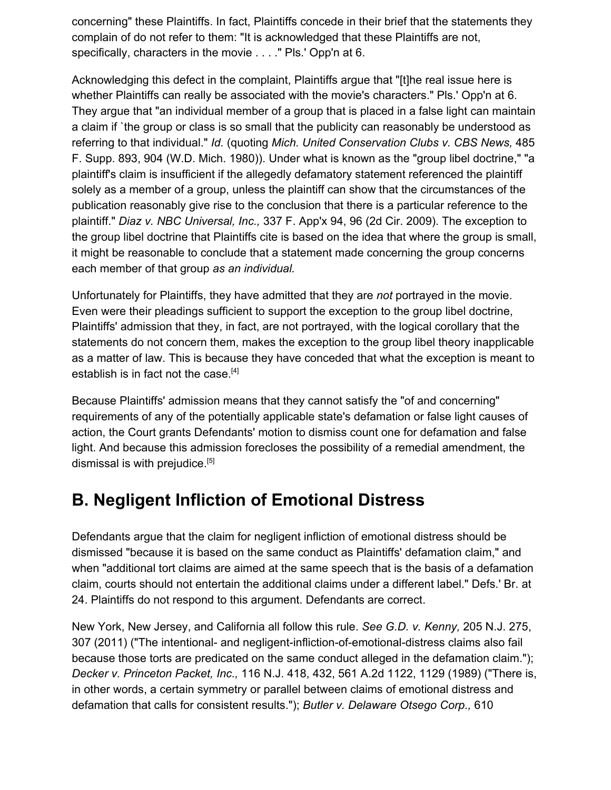concerning" these Plaintiffs. In fact, Plaintiffs concede in their brief that the statements they complain of do not refer to them: "It is acknowledged that these Plaintiffs are not, specifically, characters in the movie . . . ." Pls.' Opp'n at 6.

Acknowledging this defect in the complaint, Plaintiffs argue that "[t]he real issue here is whether Plaintiffs can really be associated with the movie's characters." Pls.' Opp'n at 6. They argue that "an individual member of a group that is placed in a false light can maintain a claim if `the group or class is so small that the publicity can reasonably be understood as referring to that individual." *Id.* (quoting *Mich. United Conservation Clubs v. CBS News,* 485 F. Supp. 893, 904 (W.D. Mich. 1980)). Under what is known as the "group libel doctrine," "a plaintiff's claim is insufficient if the allegedly defamatory statement referenced the plaintiff solely as a member of a group, unless the plaintiff can show that the circumstances of the publication reasonably give rise to the conclusion that there is a particular reference to the plaintiff." *Diaz v. NBC Universal, Inc.,* 337 F. App'x 94, 96 (2d Cir. 2009). The exception to the group libel doctrine that Plaintiffs cite is based on the idea that where the group is small, it might be reasonable to conclude that a statement made concerning the group concerns each member of that group *as an individual.*

Unfortunately for Plaintiffs, they have admitted that they are *not* portrayed in the movie. Even were their pleadings sufficient to support the exception to the group libel doctrine, Plaintiffs' admission that they, in fact, are not portrayed, with the logical corollary that the statements do not concern them, makes the exception to the group libel theory inapplicable as a matter of law. This is because they have conceded that what the exception is meant to establish is in fact not the case.<sup>[4]</sup>

Because Plaintiffs' admission means that they cannot satisfy the "of and concerning" requirements of any of the potentially applicable state's defamation or false light causes of action, the Court grants Defendants' motion to dismiss count one for defamation and false light. And because this admission forecloses the possibility of a remedial amendment, the dismissal is with prejudice.<sup>[5]</sup>

# **B. Negligent Infliction of Emotional Distress**

Defendants argue that the claim for negligent infliction of emotional distress should be dismissed "because it is based on the same conduct as Plaintiffs' defamation claim," and when "additional tort claims are aimed at the same speech that is the basis of a defamation claim, courts should not entertain the additional claims under a different label." Defs.' Br. at 24. Plaintiffs do not respond to this argument. Defendants are correct.

New York, New Jersey, and California all follow this rule. *See G.D. v. Kenny,* 205 N.J. 275, 307 (2011) ("The intentional- and negligent-infliction-of-emotional-distress claims also fail because those torts are predicated on the same conduct alleged in the defamation claim."); *Decker v. Princeton Packet, Inc.,* 116 N.J. 418, 432, 561 A.2d 1122, 1129 (1989) ("There is, in other words, a certain symmetry or parallel between claims of emotional distress and defamation that calls for consistent results."); *Butler v. Delaware Otsego Corp.,* 610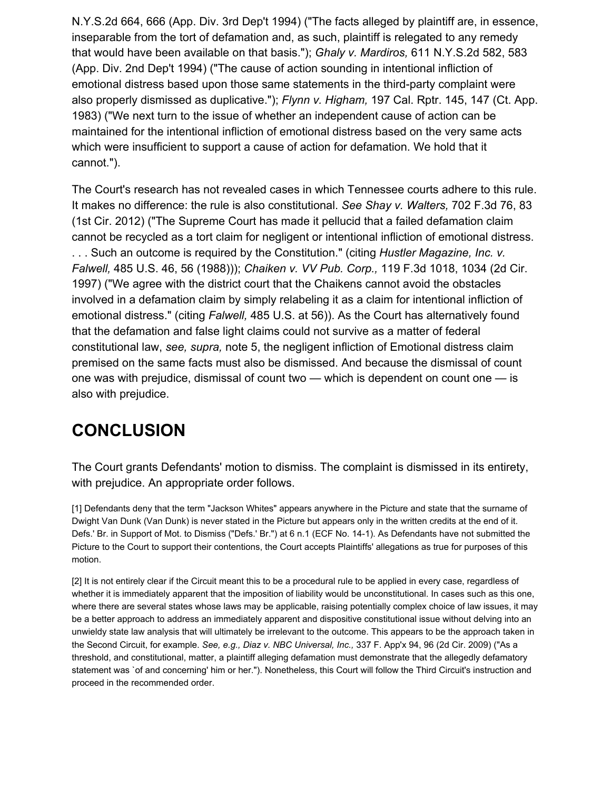N.Y.S.2d 664, 666 (App. Div. 3rd Dep't 1994) ("The facts alleged by plaintiff are, in essence, inseparable from the tort of defamation and, as such, plaintiff is relegated to any remedy that would have been available on that basis."); *Ghaly v. Mardiros,* 611 N.Y.S.2d 582, 583 (App. Div. 2nd Dep't 1994) ("The cause of action sounding in intentional infliction of emotional distress based upon those same statements in the third-party complaint were also properly dismissed as duplicative."); *Flynn v. Higham,* 197 Cal. Rptr. 145, 147 (Ct. App. 1983) ("We next turn to the issue of whether an independent cause of action can be maintained for the intentional infliction of emotional distress based on the very same acts which were insufficient to support a cause of action for defamation. We hold that it cannot.").

The Court's research has not revealed cases in which Tennessee courts adhere to this rule. It makes no difference: the rule is also constitutional. *See Shay v. Walters,* 702 F.3d 76, 83 (1st Cir. 2012) ("The Supreme Court has made it pellucid that a failed defamation claim cannot be recycled as a tort claim for negligent or intentional infliction of emotional distress. . . . Such an outcome is required by the Constitution." (citing *Hustler Magazine, Inc. v. Falwell,* 485 U.S. 46, 56 (1988))); *Chaiken v. VV Pub. Corp.,* 119 F.3d 1018, 1034 (2d Cir. 1997) ("We agree with the district court that the Chaikens cannot avoid the obstacles involved in a defamation claim by simply relabeling it as a claim for intentional infliction of emotional distress." (citing *Falwell,* 485 U.S. at 56)). As the Court has alternatively found that the defamation and false light claims could not survive as a matter of federal constitutional law, *see, supra,* note 5, the negligent infliction of Emotional distress claim premised on the same facts must also be dismissed. And because the dismissal of count one was with prejudice, dismissal of count two — which is dependent on count one — is also with prejudice.

# **CONCLUSION**

The Court grants Defendants' motion to dismiss. The complaint is dismissed in its entirety, with prejudice. An appropriate order follows.

[1] Defendants deny that the term "Jackson Whites" appears anywhere in the Picture and state that the surname of Dwight Van Dunk (Van Dunk) is never stated in the Picture but appears only in the written credits at the end of it. Defs.' Br. in Support of Mot. to Dismiss ("Defs.' Br.") at 6 n.1 (ECF No. 14-1). As Defendants have not submitted the Picture to the Court to support their contentions, the Court accepts Plaintiffs' allegations as true for purposes of this motion.

[2] It is not entirely clear if the Circuit meant this to be a procedural rule to be applied in every case, regardless of whether it is immediately apparent that the imposition of liability would be unconstitutional. In cases such as this one, where there are several states whose laws may be applicable, raising potentially complex choice of law issues, it may be a better approach to address an immediately apparent and dispositive constitutional issue without delving into an unwieldy state law analysis that will ultimately be irrelevant to the outcome. This appears to be the approach taken in the Second Circuit, for example. *See, e.g., Diaz v. NBC Universal, Inc.,* 337 F. App'x 94, 96 (2d Cir. 2009) ("As a threshold, and constitutional, matter, a plaintiff alleging defamation must demonstrate that the allegedly defamatory statement was `of and concerning' him or her."). Nonetheless, this Court will follow the Third Circuit's instruction and proceed in the recommended order.